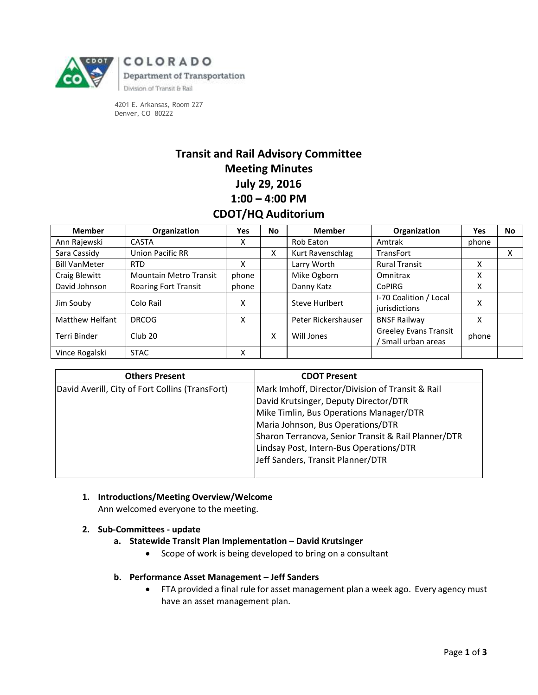

4201 E. Arkansas, Room 227 Denver, CO 80222

# **Transit and Rail Advisory Committee Meeting Minutes July 29, 2016 1:00 – 4:00 PM CDOT/HQ Auditorium**

| <b>Member</b>          | Organization                | Yes   | No | <b>Member</b>       | Organization                                      | Yes   | <b>No</b> |
|------------------------|-----------------------------|-------|----|---------------------|---------------------------------------------------|-------|-----------|
| Ann Rajewski           | <b>CASTA</b>                | x     |    | Rob Eaton           | Amtrak                                            | phone |           |
| Sara Cassidy           | Union Pacific RR            |       | X  | Kurt Ravenschlag    | <b>TransFort</b>                                  |       | x         |
| <b>Bill VanMeter</b>   | <b>RTD</b>                  | x     |    | Larry Worth         | <b>Rural Transit</b>                              | x     |           |
| Craig Blewitt          | Mountain Metro Transit      | phone |    | Mike Ogborn         | Omnitrax                                          | х     |           |
| David Johnson          | <b>Roaring Fort Transit</b> | phone |    | Danny Katz          | <b>CoPIRG</b>                                     | x     |           |
| Jim Souby              | Colo Rail                   | X     |    | Steve Hurlbert      | I-70 Coalition / Local<br>jurisdictions           | x     |           |
| <b>Matthew Helfant</b> | <b>DRCOG</b>                | X     |    | Peter Rickershauser | <b>BNSF Railway</b>                               | x     |           |
| Terri Binder           | Club 20                     |       | x  | Will Jones          | <b>Greeley Evans Transit</b><br>Small urban areas | phone |           |
| Vince Rogalski         | <b>STAC</b>                 | x     |    |                     |                                                   |       |           |

| <b>Others Present</b>                           | <b>CDOT Present</b>                                 |
|-------------------------------------------------|-----------------------------------------------------|
| David Averill, City of Fort Collins (TransFort) | Mark Imhoff, Director/Division of Transit & Rail    |
|                                                 | David Krutsinger, Deputy Director/DTR               |
|                                                 | Mike Timlin, Bus Operations Manager/DTR             |
|                                                 | Maria Johnson, Bus Operations/DTR                   |
|                                                 | Sharon Terranova, Senior Transit & Rail Planner/DTR |
|                                                 | Lindsay Post, Intern-Bus Operations/DTR             |
|                                                 | Jeff Sanders, Transit Planner/DTR                   |
|                                                 |                                                     |

- **1. Introductions/Meeting Overview/Welcome** Ann welcomed everyone to the meeting.
- **2. Sub-Committees - update**
	- **a. Statewide Transit Plan Implementation – David Krutsinger**
		- Scope of work is being developed to bring on a consultant
	- **b. Performance Asset Management – Jeff Sanders**
		- FTA provided a final rule for asset management plan a week ago. Every agency must have an asset management plan.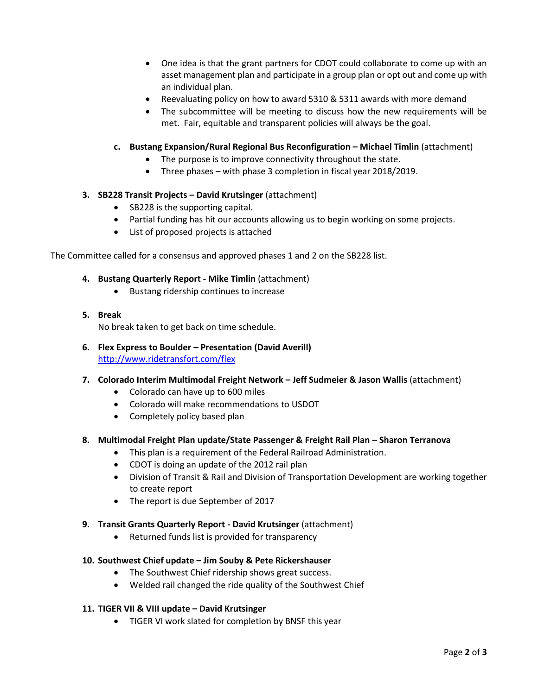- One idea is that the grant partners for CDOT could collaborate to come up with an asset management plan and participate in a group plan or opt out and come up with an individual plan.
- Reevaluating policy on how to award 5310 & 5311 awards with more demand
- The subcommittee will be meeting to discuss how the new requirements will be met. Fair, equitable and transparent policies will always be the goal.
- **c. Bustang Expansion/Rural Regional Bus Reconfiguration – Michael Timlin** (attachment)
	- The purpose is to improve connectivity throughout the state.
	- Three phases with phase 3 completion in fiscal year 2018/2019.

## **3. SB228 Transit Projects – David Krutsinger** (attachment)

- SB228 is the supporting capital.
- Partial funding has hit our accounts allowing us to begin working on some projects.
- List of proposed projects is attached

The Committee called for a consensus and approved phases 1 and 2 on the SB228 list.

## **4. Bustang Quarterly Report - Mike Timlin** (attachment)

- Bustang ridership continues to increase
- **5. Break**

No break taken to get back on time schedule.

- **6. Flex Express to Boulder – Presentation (David Averill)** <http://www.ridetransfort.com/flex>
- **7. Colorado Interim Multimodal Freight Network – Jeff Sudmeier & Jason Wallis** (attachment)
	- Colorado can have up to 600 miles
	- Colorado will make recommendations to USDOT
	- Completely policy based plan

#### **8. Multimodal Freight Plan update/State Passenger & Freight Rail Plan – Sharon Terranova**

- This plan is a requirement of the Federal Railroad Administration.
- CDOT is doing an update of the 2012 rail plan
- Division of Transit & Rail and Division of Transportation Development are working together to create report
- The report is due September of 2017
- **9. Transit Grants Quarterly Report - David Krutsinger** (attachment)
	- Returned funds list is provided for transparency

#### **10. Southwest Chief update – Jim Souby & Pete Rickershauser**

- The Southwest Chief ridership shows great success.
- Welded rail changed the ride quality of the Southwest Chief

#### **11. TIGER VII & VIII update – David Krutsinger**

TIGER VI work slated for completion by BNSF this year